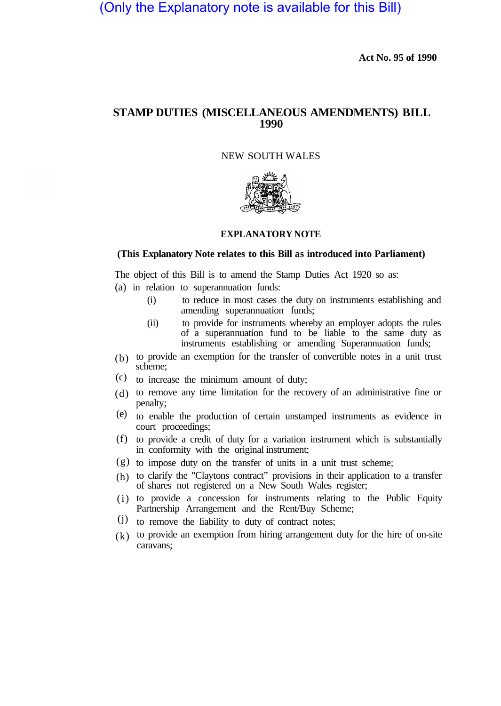(Only the Explanatory note is available for this Bill)

**Act No. 95 of 1990**

## **STAMP DUTIES (MISCELLANEOUS AMENDMENTS) BILL 1990**

## NEW SOUTH WALES



## **EXPLANATORY NOTE**

## **(This Explanatory Note relates to this Bill as introduced into Parliament)**

The object of this Bill is to amend the Stamp Duties Act 1920 so as:

- (a) in relation to superannuation funds:
	- (i) to reduce in most cases the duty on instruments establishing and amending superannuation funds;
	- (ii) to provide for instruments whereby an employer adopts the rules of a superannuation fund to be liable to the same duty as instruments establishing or amending Superannuation funds;
- $(b)$  to provide an exemption for the transfer of convertible notes in a unit trust scheme;
- $(c)$  to increase the minimum amount of duty;
- (d) to remove any time limitation for the recovery of an administrative fine or penalty;
- to enable the production of certain unstamped instruments as evidence in (e) court proceedings;
- to provide a credit of duty for a variation instrument which is substantially (f) in conformity with the original instrument;
- (g) to impose duty on the transfer of units in a unit trust scheme;
- (h) to clarify the "Claytons contract" provisions in their application to a transfer of shares not registered on a New South Wales register;
- (i) to provide a concession for instruments relating to the Public Equity Partnership Arrangement and the Rent/Buy Scheme;
- (j) to remove the liability to duty of contract notes;
- $(k)$  to provide an exemption from hiring arrangement duty for the hire of on-site caravans;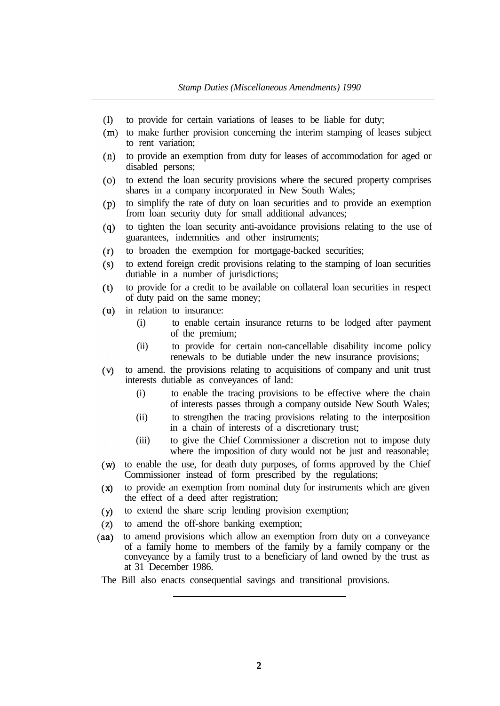- $(1)$ to provide for certain variations of leases to be liable for duty;
- (m) to make further provision concerning the interim stamping of leases subject to rent variation;
- to provide an exemption from duty for leases of accommodation for aged or  $(n)$ disabled persons;
- to extend the loan security provisions where the secured property comprises  $(0)$ shares in a company incorporated in New South Wales;
- to simplify the rate of duty on loan securities and to provide an exemption  $(p)$ from loan security duty for small additional advances;
- to tighten the loan security anti-avoidance provisions relating to the use of  $(q)$ guarantees, indemnities and other instruments;
- to broaden the exemption for mortgage-backed securities;  $(r)$
- $(s)$ to extend foreign credit provisions relating to the stamping of loan securities dutiable in a number of jurisdictions;
- to provide for a credit to be available on collateral loan securities in respect  $(t)$ of duty paid on the same money;
- $(u)$ in relation to insurance:
	- (i) to enable certain insurance returns to be lodged after payment of the premium;
	- (ii) to provide for certain non-cancellable disability income policy renewals to be dutiable under the new insurance provisions;
- to amend. the provisions relating to acquisitions of company and unit trust  $(v)$ interests dutiable as conveyances of land:
	- (i) to enable the tracing provisions to be effective where the chain of interests passes through a company outside New South Wales;
	- (ii) to strengthen the tracing provisions relating to the interposition in a chain of interests of a discretionary trust;
	- (iii) to give the Chief Commissioner a discretion not to impose duty where the imposition of duty would not be just and reasonable;
- (w) to enable the use, for death duty purposes, of forms approved by the Chief Commissioner instead of form prescribed by the regulations;
- to provide an exemption from nominal duty for instruments which are given  $(x)$ the effect of a deed after registration;
- to extend the share scrip lending provision exemption;  $(y)$
- to amend the off-shore banking exemption;  $(z)$
- to amend provisions which allow an exemption from duty on a conveyance  $(aa)$ of a family home to members of the family by a family company or the conveyance by a family trust to a beneficiary of land owned by the trust as at 31 December 1986.
- The Bill also enacts consequential savings and transitional provisions.